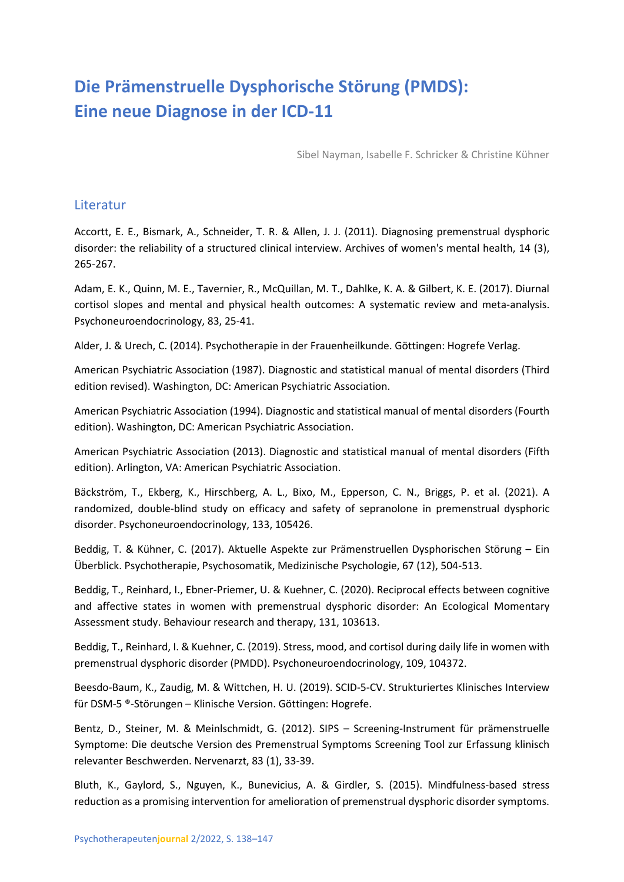## **Die Prämenstruelle Dysphorische Störung (PMDS): Eine neue Diagnose in der ICD-11**

Sibel Nayman, Isabelle F. Schricker & Christine Kühner

## Literatur

Accortt, E. E., Bismark, A., Schneider, T. R. & Allen, J. J. (2011). Diagnosing premenstrual dysphoric disorder: the reliability of a structured clinical interview. Archives of women's mental health, 14 (3), 265-267.

Adam, E. K., Quinn, M. E., Tavernier, R., McQuillan, M. T., Dahlke, K. A. & Gilbert, K. E. (2017). Diurnal cortisol slopes and mental and physical health outcomes: A systematic review and meta-analysis. Psychoneuroendocrinology, 83, 25-41.

Alder, J. & Urech, C. (2014). Psychotherapie in der Frauenheilkunde. Göttingen: Hogrefe Verlag.

American Psychiatric Association (1987). Diagnostic and statistical manual of mental disorders (Third edition revised). Washington, DC: American Psychiatric Association.

American Psychiatric Association (1994). Diagnostic and statistical manual of mental disorders (Fourth edition). Washington, DC: American Psychiatric Association.

American Psychiatric Association (2013). Diagnostic and statistical manual of mental disorders (Fifth edition). Arlington, VA: American Psychiatric Association.

Bäckström, T., Ekberg, K., Hirschberg, A. L., Bixo, M., Epperson, C. N., Briggs, P. et al. (2021). A randomized, double-blind study on efficacy and safety of sepranolone in premenstrual dysphoric disorder. Psychoneuroendocrinology, 133, 105426.

Beddig, T. & Kühner, C. (2017). Aktuelle Aspekte zur Prämenstruellen Dysphorischen Störung – Ein Überblick. Psychotherapie, Psychosomatik, Medizinische Psychologie, 67 (12), 504-513.

Beddig, T., Reinhard, I., Ebner-Priemer, U. & Kuehner, C. (2020). Reciprocal effects between cognitive and affective states in women with premenstrual dysphoric disorder: An Ecological Momentary Assessment study. Behaviour research and therapy, 131, 103613.

Beddig, T., Reinhard, I. & Kuehner, C. (2019). Stress, mood, and cortisol during daily life in women with premenstrual dysphoric disorder (PMDD). Psychoneuroendocrinology, 109, 104372.

Beesdo-Baum, K., Zaudig, M. & Wittchen, H. U. (2019). SCID-5-CV. Strukturiertes Klinisches Interview für DSM-5 ®-Störungen – Klinische Version. Göttingen: Hogrefe.

Bentz, D., Steiner, M. & Meinlschmidt, G. (2012). SIPS – Screening-Instrument für prämenstruelle Symptome: Die deutsche Version des Premenstrual Symptoms Screening Tool zur Erfassung klinisch relevanter Beschwerden. Nervenarzt, 83 (1), 33-39.

Bluth, K., Gaylord, S., Nguyen, K., Bunevicius, A. & Girdler, S. (2015). Mindfulness-based stress reduction as a promising intervention for amelioration of premenstrual dysphoric disorder symptoms.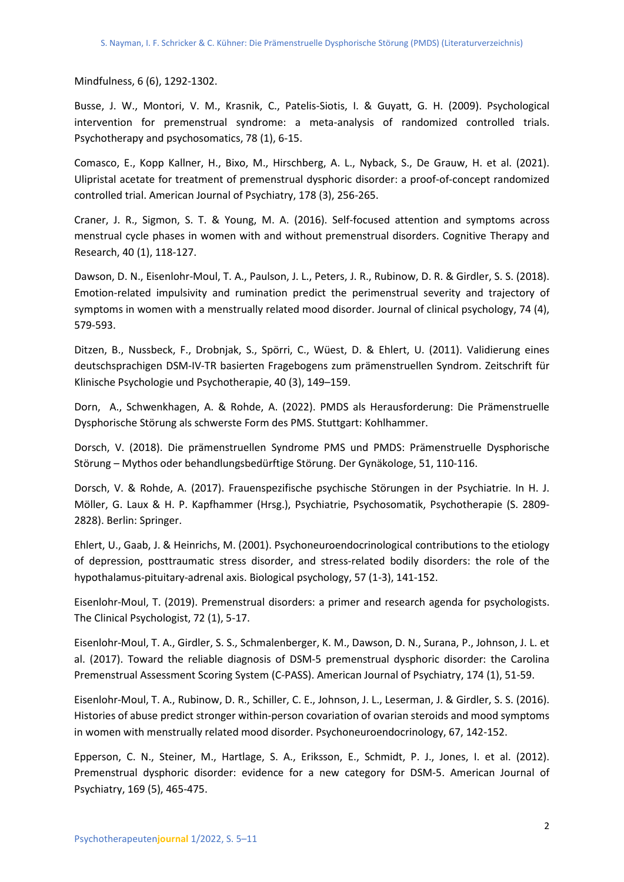Mindfulness, 6 (6), 1292-1302.

Busse, J. W., Montori, V. M., Krasnik, C., Patelis-Siotis, I. & Guyatt, G. H. (2009). Psychological intervention for premenstrual syndrome: a meta-analysis of randomized controlled trials. Psychotherapy and psychosomatics, 78 (1), 6-15.

Comasco, E., Kopp Kallner, H., Bixo, M., Hirschberg, A. L., Nyback, S., De Grauw, H. et al. (2021). Ulipristal acetate for treatment of premenstrual dysphoric disorder: a proof-of-concept randomized controlled trial. American Journal of Psychiatry, 178 (3), 256-265.

Craner, J. R., Sigmon, S. T. & Young, M. A. (2016). Self-focused attention and symptoms across menstrual cycle phases in women with and without premenstrual disorders. Cognitive Therapy and Research, 40 (1), 118-127.

Dawson, D. N., Eisenlohr-Moul, T. A., Paulson, J. L., Peters, J. R., Rubinow, D. R. & Girdler, S. S. (2018). Emotion-related impulsivity and rumination predict the perimenstrual severity and trajectory of symptoms in women with a menstrually related mood disorder. Journal of clinical psychology, 74 (4), 579-593.

Ditzen, B., Nussbeck, F., Drobnjak, S., Spörri, C., Wüest, D. & Ehlert, U. (2011). Validierung eines deutschsprachigen DSM-IV-TR basierten Fragebogens zum prämenstruellen Syndrom. Zeitschrift für Klinische Psychologie und Psychotherapie, 40 (3), 149–159.

Dorn, A., Schwenkhagen, A. & Rohde, A. (2022). PMDS als Herausforderung: Die Prämenstruelle Dysphorische Störung als schwerste Form des PMS. Stuttgart: Kohlhammer.

Dorsch, V. (2018). Die prämenstruellen Syndrome PMS und PMDS: Prämenstruelle Dysphorische Störung – Mythos oder behandlungsbedürftige Störung. Der Gynäkologe, 51, 110-116.

Dorsch, V. & Rohde, A. (2017). Frauenspezifische psychische Störungen in der Psychiatrie. In H. J. Möller, G. Laux & H. P. Kapfhammer (Hrsg.), Psychiatrie, Psychosomatik, Psychotherapie (S. 2809- 2828). Berlin: Springer.

Ehlert, U., Gaab, J. & Heinrichs, M. (2001). Psychoneuroendocrinological contributions to the etiology of depression, posttraumatic stress disorder, and stress-related bodily disorders: the role of the hypothalamus-pituitary-adrenal axis. Biological psychology, 57 (1-3), 141-152.

Eisenlohr-Moul, T. (2019). Premenstrual disorders: a primer and research agenda for psychologists. The Clinical Psychologist, 72 (1), 5-17.

Eisenlohr-Moul, T. A., Girdler, S. S., Schmalenberger, K. M., Dawson, D. N., Surana, P., Johnson, J. L. et al. (2017). Toward the reliable diagnosis of DSM-5 premenstrual dysphoric disorder: the Carolina Premenstrual Assessment Scoring System (C-PASS). American Journal of Psychiatry, 174 (1), 51-59.

Eisenlohr-Moul, T. A., Rubinow, D. R., Schiller, C. E., Johnson, J. L., Leserman, J. & Girdler, S. S. (2016). Histories of abuse predict stronger within-person covariation of ovarian steroids and mood symptoms in women with menstrually related mood disorder. Psychoneuroendocrinology, 67, 142-152.

Epperson, C. N., Steiner, M., Hartlage, S. A., Eriksson, E., Schmidt, P. J., Jones, I. et al. (2012). Premenstrual dysphoric disorder: evidence for a new category for DSM-5. American Journal of Psychiatry, 169 (5), 465-475.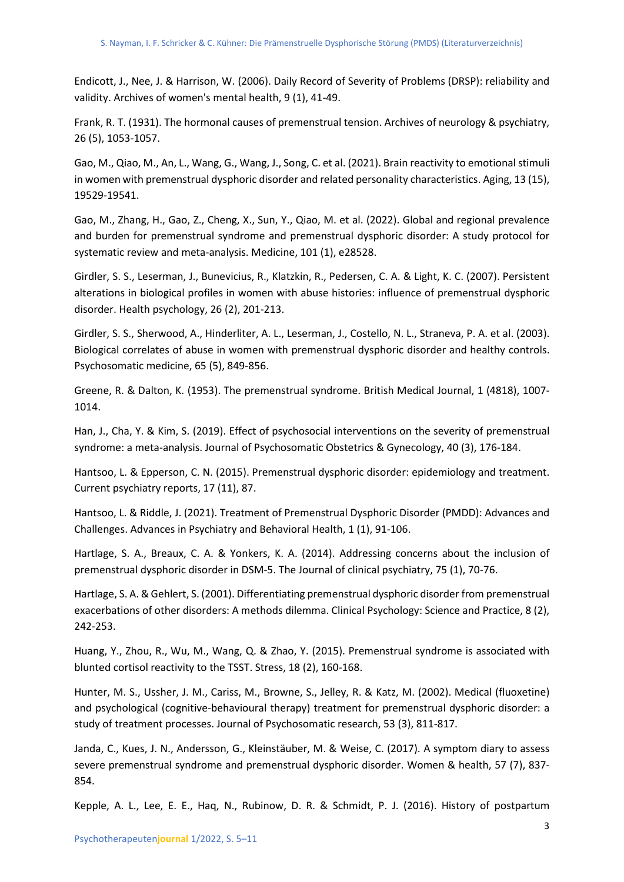Endicott, J., Nee, J. & Harrison, W. (2006). Daily Record of Severity of Problems (DRSP): reliability and validity. Archives of women's mental health, 9 (1), 41-49.

Frank, R. T. (1931). The hormonal causes of premenstrual tension. Archives of neurology & psychiatry, 26 (5), 1053-1057.

Gao, M., Qiao, M., An, L., Wang, G., Wang, J., Song, C. et al. (2021). Brain reactivity to emotional stimuli in women with premenstrual dysphoric disorder and related personality characteristics. Aging, 13 (15), 19529-19541.

Gao, M., Zhang, H., Gao, Z., Cheng, X., Sun, Y., Qiao, M. et al. (2022). Global and regional prevalence and burden for premenstrual syndrome and premenstrual dysphoric disorder: A study protocol for systematic review and meta-analysis. Medicine, 101 (1), e28528.

Girdler, S. S., Leserman, J., Bunevicius, R., Klatzkin, R., Pedersen, C. A. & Light, K. C. (2007). Persistent alterations in biological profiles in women with abuse histories: influence of premenstrual dysphoric disorder. Health psychology, 26 (2), 201-213.

Girdler, S. S., Sherwood, A., Hinderliter, A. L., Leserman, J., Costello, N. L., Straneva, P. A. et al. (2003). Biological correlates of abuse in women with premenstrual dysphoric disorder and healthy controls. Psychosomatic medicine, 65 (5), 849-856.

Greene, R. & Dalton, K. (1953). The premenstrual syndrome. British Medical Journal, 1 (4818), 1007- 1014.

Han, J., Cha, Y. & Kim, S. (2019). Effect of psychosocial interventions on the severity of premenstrual syndrome: a meta-analysis. Journal of Psychosomatic Obstetrics & Gynecology, 40 (3), 176-184.

Hantsoo, L. & Epperson, C. N. (2015). Premenstrual dysphoric disorder: epidemiology and treatment. Current psychiatry reports, 17 (11), 87.

Hantsoo, L. & Riddle, J. (2021). Treatment of Premenstrual Dysphoric Disorder (PMDD): Advances and Challenges. Advances in Psychiatry and Behavioral Health, 1 (1), 91-106.

Hartlage, S. A., Breaux, C. A. & Yonkers, K. A. (2014). Addressing concerns about the inclusion of premenstrual dysphoric disorder in DSM-5. The Journal of clinical psychiatry, 75 (1), 70-76.

Hartlage, S. A. & Gehlert, S. (2001). Differentiating premenstrual dysphoric disorder from premenstrual exacerbations of other disorders: A methods dilemma. Clinical Psychology: Science and Practice, 8 (2), 242-253.

Huang, Y., Zhou, R., Wu, M., Wang, Q. & Zhao, Y. (2015). Premenstrual syndrome is associated with blunted cortisol reactivity to the TSST. Stress, 18 (2), 160-168.

Hunter, M. S., Ussher, J. M., Cariss, M., Browne, S., Jelley, R. & Katz, M. (2002). Medical (fluoxetine) and psychological (cognitive-behavioural therapy) treatment for premenstrual dysphoric disorder: a study of treatment processes. Journal of Psychosomatic research, 53 (3), 811-817.

Janda, C., Kues, J. N., Andersson, G., Kleinstäuber, M. & Weise, C. (2017). A symptom diary to assess severe premenstrual syndrome and premenstrual dysphoric disorder. Women & health, 57 (7), 837- 854.

Kepple, A. L., Lee, E. E., Haq, N., Rubinow, D. R. & Schmidt, P. J. (2016). History of postpartum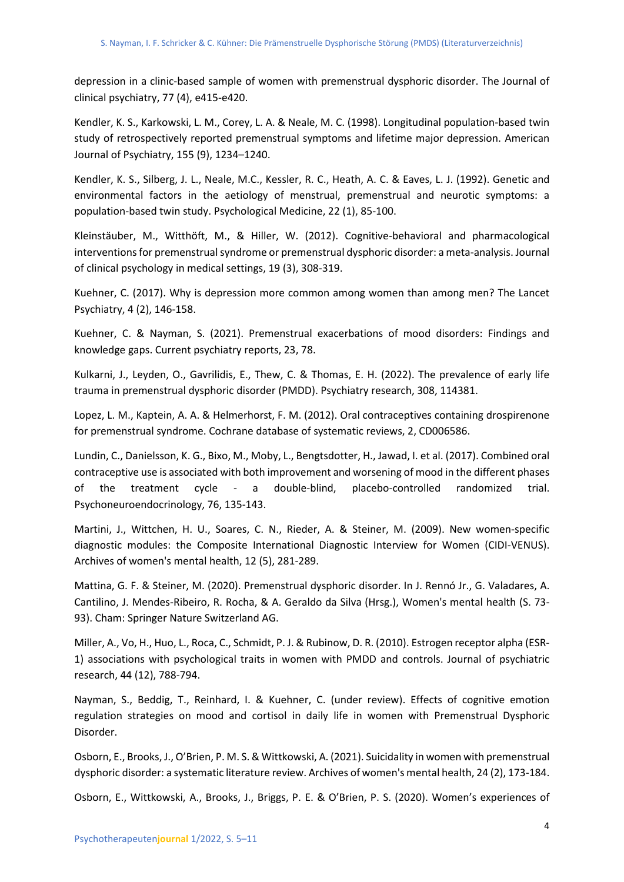depression in a clinic-based sample of women with premenstrual dysphoric disorder. The Journal of clinical psychiatry, 77 (4), e415-e420.

Kendler, K. S., Karkowski, L. M., Corey, L. A. & Neale, M. C. (1998). Longitudinal population-based twin study of retrospectively reported premenstrual symptoms and lifetime major depression. American Journal of Psychiatry, 155 (9), 1234–1240.

Kendler, K. S., Silberg, J. L., Neale, M.C., Kessler, R. C., Heath, A. C. & Eaves, L. J. (1992). Genetic and environmental factors in the aetiology of menstrual, premenstrual and neurotic symptoms: a population-based twin study. Psychological Medicine, 22 (1), 85-100.

Kleinstäuber, M., Witthöft, M., & Hiller, W. (2012). Cognitive-behavioral and pharmacological interventions for premenstrual syndrome or premenstrual dysphoric disorder: a meta-analysis. Journal of clinical psychology in medical settings, 19 (3), 308-319.

Kuehner, C. (2017). Why is depression more common among women than among men? The Lancet Psychiatry, 4 (2), 146-158.

Kuehner, C. & Nayman, S. (2021). Premenstrual exacerbations of mood disorders: Findings and knowledge gaps. Current psychiatry reports, 23, 78.

Kulkarni, J., Leyden, O., Gavrilidis, E., Thew, C. & Thomas, E. H. (2022). The prevalence of early life trauma in premenstrual dysphoric disorder (PMDD). Psychiatry research, 308, 114381.

Lopez, L. M., Kaptein, A. A. & Helmerhorst, F. M. (2012). Oral contraceptives containing drospirenone for premenstrual syndrome. Cochrane database of systematic reviews, 2, CD006586.

Lundin, C., Danielsson, K. G., Bixo, M., Moby, L., Bengtsdotter, H., Jawad, I. et al. (2017). Combined oral contraceptive use is associated with both improvement and worsening of mood in the different phases of the treatment cycle - a double-blind, placebo-controlled randomized trial. Psychoneuroendocrinology, 76, 135-143.

Martini, J., Wittchen, H. U., Soares, C. N., Rieder, A. & Steiner, M. (2009). New women-specific diagnostic modules: the Composite International Diagnostic Interview for Women (CIDI-VENUS). Archives of women's mental health, 12 (5), 281-289.

Mattina, G. F. & Steiner, M. (2020). Premenstrual dysphoric disorder. In J. Rennó Jr., G. Valadares, A. Cantilino, J. Mendes-Ribeiro, R. Rocha, & A. Geraldo da Silva (Hrsg.), Women's mental health (S. 73- 93). Cham: Springer Nature Switzerland AG.

Miller, A., Vo, H., Huo, L., Roca, C., Schmidt, P. J. & Rubinow, D. R. (2010). Estrogen receptor alpha (ESR-1) associations with psychological traits in women with PMDD and controls. Journal of psychiatric research, 44 (12), 788-794.

Nayman, S., Beddig, T., Reinhard, I. & Kuehner, C. (under review). Effects of cognitive emotion regulation strategies on mood and cortisol in daily life in women with Premenstrual Dysphoric Disorder.

Osborn, E., Brooks, J., O'Brien, P. M. S. & Wittkowski, A. (2021). Suicidality in women with premenstrual dysphoric disorder: a systematic literature review. Archives of women's mental health, 24 (2), 173-184.

Osborn, E., Wittkowski, A., Brooks, J., Briggs, P. E. & O'Brien, P. S. (2020). Women's experiences of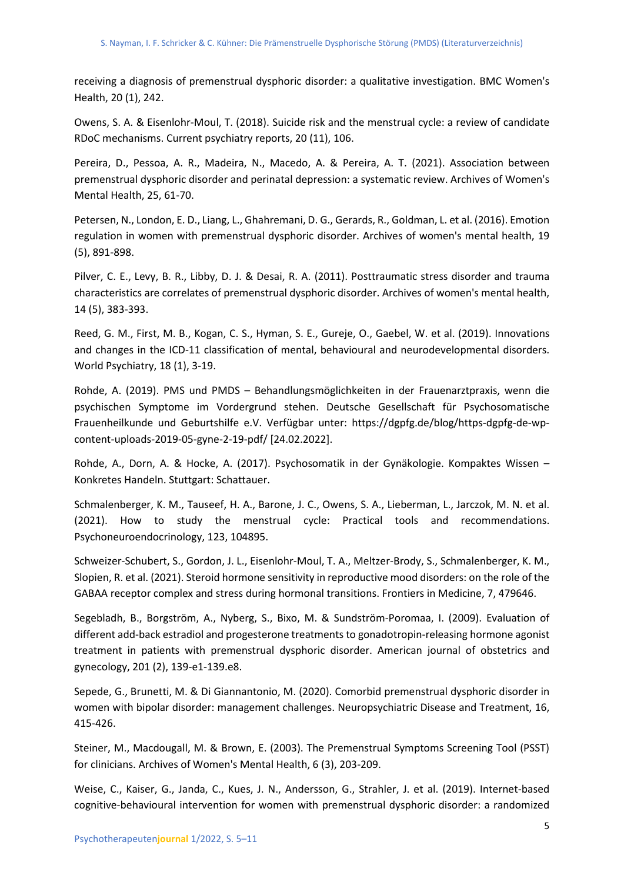receiving a diagnosis of premenstrual dysphoric disorder: a qualitative investigation. BMC Women's Health, 20 (1), 242.

Owens, S. A. & Eisenlohr-Moul, T. (2018). Suicide risk and the menstrual cycle: a review of candidate RDoC mechanisms. Current psychiatry reports, 20 (11), 106.

Pereira, D., Pessoa, A. R., Madeira, N., Macedo, A. & Pereira, A. T. (2021). Association between premenstrual dysphoric disorder and perinatal depression: a systematic review. Archives of Women's Mental Health, 25, 61-70.

Petersen, N., London, E. D., Liang, L., Ghahremani, D. G., Gerards, R., Goldman, L. et al. (2016). Emotion regulation in women with premenstrual dysphoric disorder. Archives of women's mental health, 19 (5), 891-898.

Pilver, C. E., Levy, B. R., Libby, D. J. & Desai, R. A. (2011). Posttraumatic stress disorder and trauma characteristics are correlates of premenstrual dysphoric disorder. Archives of women's mental health, 14 (5), 383-393.

Reed, G. M., First, M. B., Kogan, C. S., Hyman, S. E., Gureje, O., Gaebel, W. et al. (2019). Innovations and changes in the ICD-11 classification of mental, behavioural and neurodevelopmental disorders. World Psychiatry, 18 (1), 3-19.

Rohde, A. (2019). PMS und PMDS – Behandlungsmöglichkeiten in der Frauenarztpraxis, wenn die psychischen Symptome im Vordergrund stehen. Deutsche Gesellschaft für Psychosomatische Frauenheilkunde und Geburtshilfe e.V. Verfügbar unter: https://dgpfg.de/blog/https-dgpfg-de-wpcontent-uploads-2019-05-gyne-2-19-pdf/ [24.02.2022].

Rohde, A., Dorn, A. & Hocke, A. (2017). Psychosomatik in der Gynäkologie. Kompaktes Wissen – Konkretes Handeln. Stuttgart: Schattauer.

Schmalenberger, K. M., Tauseef, H. A., Barone, J. C., Owens, S. A., Lieberman, L., Jarczok, M. N. et al. (2021). How to study the menstrual cycle: Practical tools and recommendations. Psychoneuroendocrinology, 123, 104895.

Schweizer-Schubert, S., Gordon, J. L., Eisenlohr-Moul, T. A., Meltzer-Brody, S., Schmalenberger, K. M., Slopien, R. et al. (2021). Steroid hormone sensitivity in reproductive mood disorders: on the role of the GABAA receptor complex and stress during hormonal transitions. Frontiers in Medicine, 7, 479646.

Segebladh, B., Borgström, A., Nyberg, S., Bixo, M. & Sundström-Poromaa, I. (2009). Evaluation of different add-back estradiol and progesterone treatments to gonadotropin-releasing hormone agonist treatment in patients with premenstrual dysphoric disorder. American journal of obstetrics and gynecology, 201 (2), 139-e1-139.e8.

Sepede, G., Brunetti, M. & Di Giannantonio, M. (2020). Comorbid premenstrual dysphoric disorder in women with bipolar disorder: management challenges. Neuropsychiatric Disease and Treatment, 16, 415-426.

Steiner, M., Macdougall, M. & Brown, E. (2003). The Premenstrual Symptoms Screening Tool (PSST) for clinicians. Archives of Women's Mental Health, 6 (3), 203-209.

Weise, C., Kaiser, G., Janda, C., Kues, J. N., Andersson, G., Strahler, J. et al. (2019). Internet-based cognitive-behavioural intervention for women with premenstrual dysphoric disorder: a randomized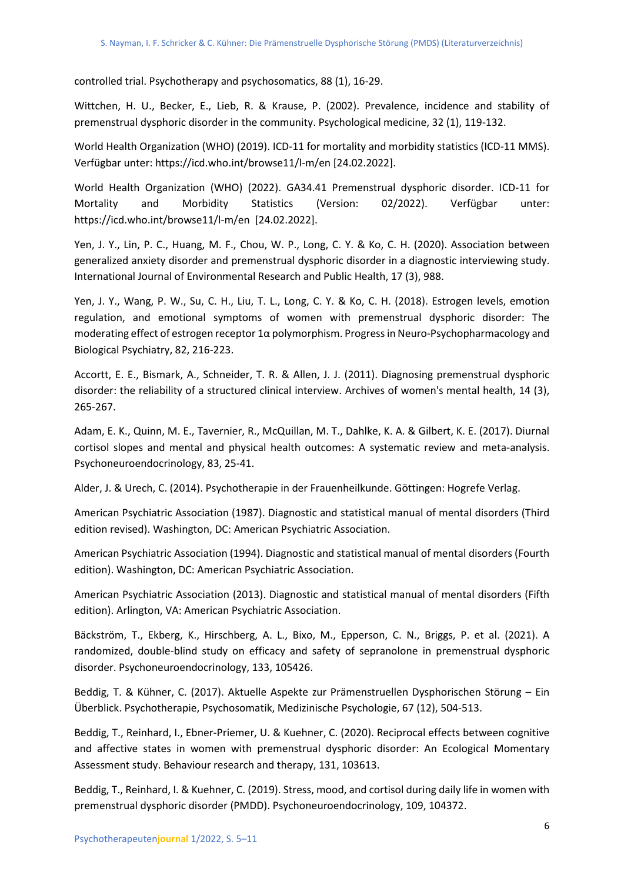controlled trial. Psychotherapy and psychosomatics, 88 (1), 16-29.

Wittchen, H. U., Becker, E., Lieb, R. & Krause, P. (2002). Prevalence, incidence and stability of premenstrual dysphoric disorder in the community. Psychological medicine, 32 (1), 119-132.

World Health Organization (WHO) (2019). ICD-11 for mortality and morbidity statistics (ICD-11 MMS). Verfügbar unter: https://icd.who.int/browse11/l-m/en [24.02.2022].

World Health Organization (WHO) (2022). GA34.41 Premenstrual dysphoric disorder. ICD-11 for Mortality and Morbidity Statistics (Version: 02/2022). Verfügbar unter: https://icd.who.int/browse11/l-m/en [24.02.2022].

Yen, J. Y., Lin, P. C., Huang, M. F., Chou, W. P., Long, C. Y. & Ko, C. H. (2020). Association between generalized anxiety disorder and premenstrual dysphoric disorder in a diagnostic interviewing study. International Journal of Environmental Research and Public Health, 17 (3), 988.

Yen, J. Y., Wang, P. W., Su, C. H., Liu, T. L., Long, C. Y. & Ko, C. H. (2018). Estrogen levels, emotion regulation, and emotional symptoms of women with premenstrual dysphoric disorder: The moderating effect of estrogen receptor 1α polymorphism. Progress in Neuro-Psychopharmacology and Biological Psychiatry, 82, 216-223.

Accortt, E. E., Bismark, A., Schneider, T. R. & Allen, J. J. (2011). Diagnosing premenstrual dysphoric disorder: the reliability of a structured clinical interview. Archives of women's mental health, 14 (3), 265-267.

Adam, E. K., Quinn, M. E., Tavernier, R., McQuillan, M. T., Dahlke, K. A. & Gilbert, K. E. (2017). Diurnal cortisol slopes and mental and physical health outcomes: A systematic review and meta-analysis. Psychoneuroendocrinology, 83, 25-41.

Alder, J. & Urech, C. (2014). Psychotherapie in der Frauenheilkunde. Göttingen: Hogrefe Verlag.

American Psychiatric Association (1987). Diagnostic and statistical manual of mental disorders (Third edition revised). Washington, DC: American Psychiatric Association.

American Psychiatric Association (1994). Diagnostic and statistical manual of mental disorders (Fourth edition). Washington, DC: American Psychiatric Association.

American Psychiatric Association (2013). Diagnostic and statistical manual of mental disorders (Fifth edition). Arlington, VA: American Psychiatric Association.

Bäckström, T., Ekberg, K., Hirschberg, A. L., Bixo, M., Epperson, C. N., Briggs, P. et al. (2021). A randomized, double-blind study on efficacy and safety of sepranolone in premenstrual dysphoric disorder. Psychoneuroendocrinology, 133, 105426.

Beddig, T. & Kühner, C. (2017). Aktuelle Aspekte zur Prämenstruellen Dysphorischen Störung – Ein Überblick. Psychotherapie, Psychosomatik, Medizinische Psychologie, 67 (12), 504-513.

Beddig, T., Reinhard, I., Ebner-Priemer, U. & Kuehner, C. (2020). Reciprocal effects between cognitive and affective states in women with premenstrual dysphoric disorder: An Ecological Momentary Assessment study. Behaviour research and therapy, 131, 103613.

Beddig, T., Reinhard, I. & Kuehner, C. (2019). Stress, mood, and cortisol during daily life in women with premenstrual dysphoric disorder (PMDD). Psychoneuroendocrinology, 109, 104372.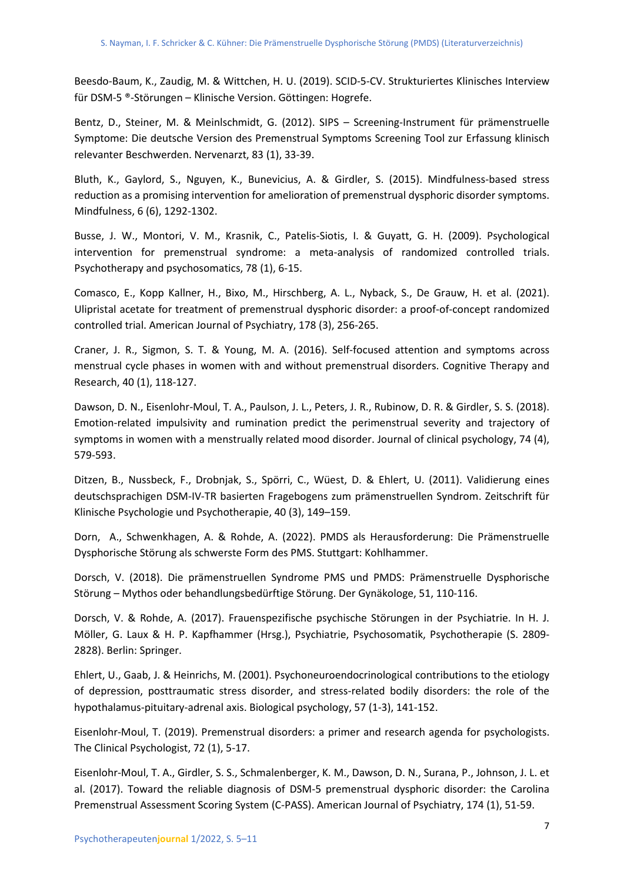Beesdo-Baum, K., Zaudig, M. & Wittchen, H. U. (2019). SCID-5-CV. Strukturiertes Klinisches Interview für DSM-5 ®-Störungen – Klinische Version. Göttingen: Hogrefe.

Bentz, D., Steiner, M. & Meinlschmidt, G. (2012). SIPS – Screening-Instrument für prämenstruelle Symptome: Die deutsche Version des Premenstrual Symptoms Screening Tool zur Erfassung klinisch relevanter Beschwerden. Nervenarzt, 83 (1), 33-39.

Bluth, K., Gaylord, S., Nguyen, K., Bunevicius, A. & Girdler, S. (2015). Mindfulness-based stress reduction as a promising intervention for amelioration of premenstrual dysphoric disorder symptoms. Mindfulness, 6 (6), 1292-1302.

Busse, J. W., Montori, V. M., Krasnik, C., Patelis-Siotis, I. & Guyatt, G. H. (2009). Psychological intervention for premenstrual syndrome: a meta-analysis of randomized controlled trials. Psychotherapy and psychosomatics, 78 (1), 6-15.

Comasco, E., Kopp Kallner, H., Bixo, M., Hirschberg, A. L., Nyback, S., De Grauw, H. et al. (2021). Ulipristal acetate for treatment of premenstrual dysphoric disorder: a proof-of-concept randomized controlled trial. American Journal of Psychiatry, 178 (3), 256-265.

Craner, J. R., Sigmon, S. T. & Young, M. A. (2016). Self-focused attention and symptoms across menstrual cycle phases in women with and without premenstrual disorders. Cognitive Therapy and Research, 40 (1), 118-127.

Dawson, D. N., Eisenlohr-Moul, T. A., Paulson, J. L., Peters, J. R., Rubinow, D. R. & Girdler, S. S. (2018). Emotion-related impulsivity and rumination predict the perimenstrual severity and trajectory of symptoms in women with a menstrually related mood disorder. Journal of clinical psychology, 74 (4), 579-593.

Ditzen, B., Nussbeck, F., Drobnjak, S., Spörri, C., Wüest, D. & Ehlert, U. (2011). Validierung eines deutschsprachigen DSM-IV-TR basierten Fragebogens zum prämenstruellen Syndrom. Zeitschrift für Klinische Psychologie und Psychotherapie, 40 (3), 149–159.

Dorn, A., Schwenkhagen, A. & Rohde, A. (2022). PMDS als Herausforderung: Die Prämenstruelle Dysphorische Störung als schwerste Form des PMS. Stuttgart: Kohlhammer.

Dorsch, V. (2018). Die prämenstruellen Syndrome PMS und PMDS: Prämenstruelle Dysphorische Störung – Mythos oder behandlungsbedürftige Störung. Der Gynäkologe, 51, 110-116.

Dorsch, V. & Rohde, A. (2017). Frauenspezifische psychische Störungen in der Psychiatrie. In H. J. Möller, G. Laux & H. P. Kapfhammer (Hrsg.), Psychiatrie, Psychosomatik, Psychotherapie (S. 2809- 2828). Berlin: Springer.

Ehlert, U., Gaab, J. & Heinrichs, M. (2001). Psychoneuroendocrinological contributions to the etiology of depression, posttraumatic stress disorder, and stress-related bodily disorders: the role of the hypothalamus-pituitary-adrenal axis. Biological psychology, 57 (1-3), 141-152.

Eisenlohr-Moul, T. (2019). Premenstrual disorders: a primer and research agenda for psychologists. The Clinical Psychologist, 72 (1), 5-17.

Eisenlohr-Moul, T. A., Girdler, S. S., Schmalenberger, K. M., Dawson, D. N., Surana, P., Johnson, J. L. et al. (2017). Toward the reliable diagnosis of DSM-5 premenstrual dysphoric disorder: the Carolina Premenstrual Assessment Scoring System (C-PASS). American Journal of Psychiatry, 174 (1), 51-59.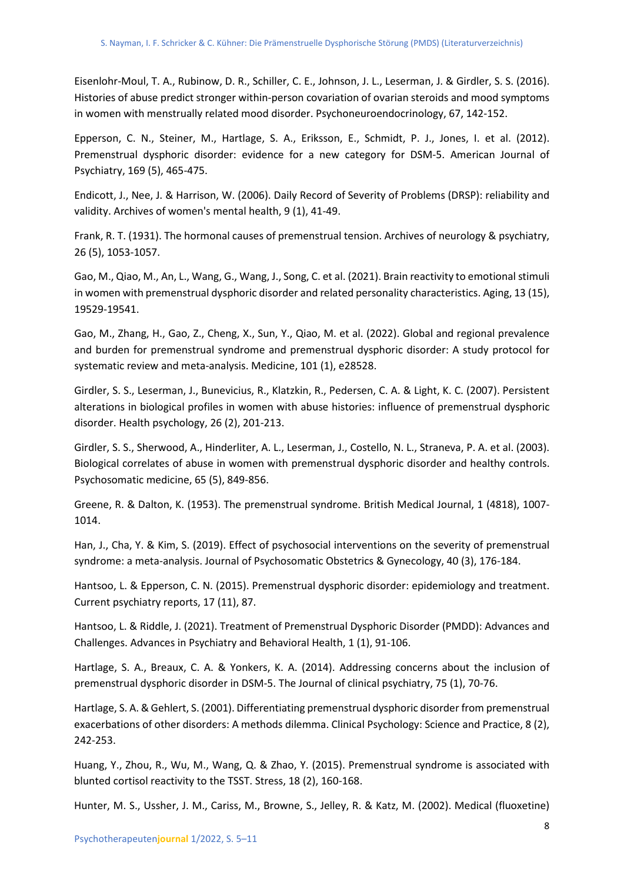Eisenlohr-Moul, T. A., Rubinow, D. R., Schiller, C. E., Johnson, J. L., Leserman, J. & Girdler, S. S. (2016). Histories of abuse predict stronger within-person covariation of ovarian steroids and mood symptoms in women with menstrually related mood disorder. Psychoneuroendocrinology, 67, 142-152.

Epperson, C. N., Steiner, M., Hartlage, S. A., Eriksson, E., Schmidt, P. J., Jones, I. et al. (2012). Premenstrual dysphoric disorder: evidence for a new category for DSM-5. American Journal of Psychiatry, 169 (5), 465-475.

Endicott, J., Nee, J. & Harrison, W. (2006). Daily Record of Severity of Problems (DRSP): reliability and validity. Archives of women's mental health, 9 (1), 41-49.

Frank, R. T. (1931). The hormonal causes of premenstrual tension. Archives of neurology & psychiatry, 26 (5), 1053-1057.

Gao, M., Qiao, M., An, L., Wang, G., Wang, J., Song, C. et al. (2021). Brain reactivity to emotional stimuli in women with premenstrual dysphoric disorder and related personality characteristics. Aging, 13 (15), 19529-19541.

Gao, M., Zhang, H., Gao, Z., Cheng, X., Sun, Y., Qiao, M. et al. (2022). Global and regional prevalence and burden for premenstrual syndrome and premenstrual dysphoric disorder: A study protocol for systematic review and meta-analysis. Medicine, 101 (1), e28528.

Girdler, S. S., Leserman, J., Bunevicius, R., Klatzkin, R., Pedersen, C. A. & Light, K. C. (2007). Persistent alterations in biological profiles in women with abuse histories: influence of premenstrual dysphoric disorder. Health psychology, 26 (2), 201-213.

Girdler, S. S., Sherwood, A., Hinderliter, A. L., Leserman, J., Costello, N. L., Straneva, P. A. et al. (2003). Biological correlates of abuse in women with premenstrual dysphoric disorder and healthy controls. Psychosomatic medicine, 65 (5), 849-856.

Greene, R. & Dalton, K. (1953). The premenstrual syndrome. British Medical Journal, 1 (4818), 1007- 1014.

Han, J., Cha, Y. & Kim, S. (2019). Effect of psychosocial interventions on the severity of premenstrual syndrome: a meta-analysis. Journal of Psychosomatic Obstetrics & Gynecology, 40 (3), 176-184.

Hantsoo, L. & Epperson, C. N. (2015). Premenstrual dysphoric disorder: epidemiology and treatment. Current psychiatry reports, 17 (11), 87.

Hantsoo, L. & Riddle, J. (2021). Treatment of Premenstrual Dysphoric Disorder (PMDD): Advances and Challenges. Advances in Psychiatry and Behavioral Health, 1 (1), 91-106.

Hartlage, S. A., Breaux, C. A. & Yonkers, K. A. (2014). Addressing concerns about the inclusion of premenstrual dysphoric disorder in DSM-5. The Journal of clinical psychiatry, 75 (1), 70-76.

Hartlage, S. A. & Gehlert, S. (2001). Differentiating premenstrual dysphoric disorder from premenstrual exacerbations of other disorders: A methods dilemma. Clinical Psychology: Science and Practice, 8 (2), 242-253.

Huang, Y., Zhou, R., Wu, M., Wang, Q. & Zhao, Y. (2015). Premenstrual syndrome is associated with blunted cortisol reactivity to the TSST. Stress, 18 (2), 160-168.

Hunter, M. S., Ussher, J. M., Cariss, M., Browne, S., Jelley, R. & Katz, M. (2002). Medical (fluoxetine)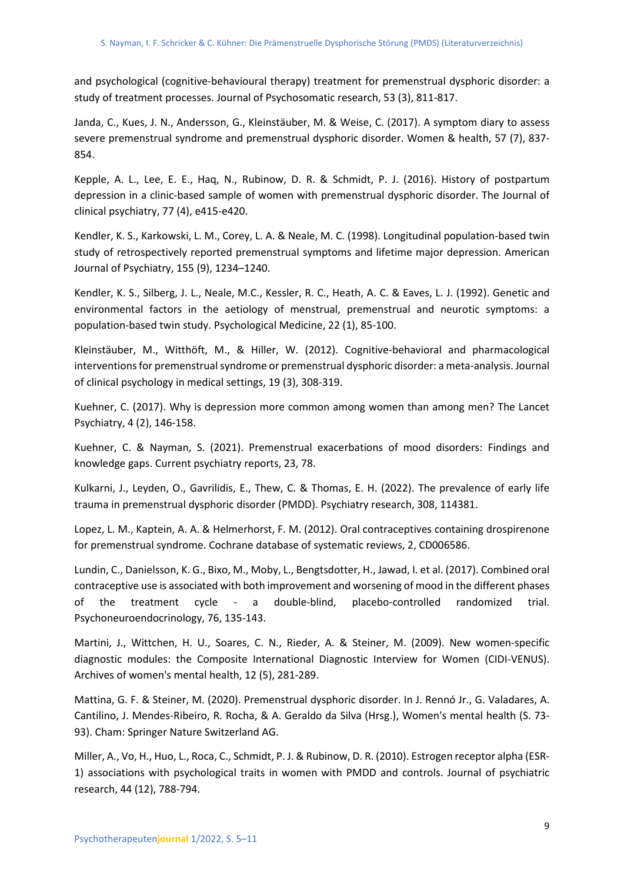and psychological (cognitive-behavioural therapy) treatment for premenstrual dysphoric disorder: a study of treatment processes. Journal of Psychosomatic research, 53 (3), 811-817.

Janda, C., Kues, J. N., Andersson, G., Kleinstäuber, M. & Weise, C. (2017). A symptom diary to assess severe premenstrual syndrome and premenstrual dysphoric disorder. Women & health, 57 (7), 837- 854.

Kepple, A. L., Lee, E. E., Haq, N., Rubinow, D. R. & Schmidt, P. J. (2016). History of postpartum depression in a clinic-based sample of women with premenstrual dysphoric disorder. The Journal of clinical psychiatry, 77 (4), e415-e420.

Kendler, K. S., Karkowski, L. M., Corey, L. A. & Neale, M. C. (1998). Longitudinal population-based twin study of retrospectively reported premenstrual symptoms and lifetime major depression. American Journal of Psychiatry, 155 (9), 1234–1240.

Kendler, K. S., Silberg, J. L., Neale, M.C., Kessler, R. C., Heath, A. C. & Eaves, L. J. (1992). Genetic and environmental factors in the aetiology of menstrual, premenstrual and neurotic symptoms: a population-based twin study. Psychological Medicine, 22 (1), 85-100.

Kleinstäuber, M., Witthöft, M., & Hiller, W. (2012). Cognitive-behavioral and pharmacological interventions for premenstrual syndrome or premenstrual dysphoric disorder: a meta-analysis. Journal of clinical psychology in medical settings, 19 (3), 308-319.

Kuehner, C. (2017). Why is depression more common among women than among men? The Lancet Psychiatry, 4 (2), 146-158.

Kuehner, C. & Nayman, S. (2021). Premenstrual exacerbations of mood disorders: Findings and knowledge gaps. Current psychiatry reports, 23, 78.

Kulkarni, J., Leyden, O., Gavrilidis, E., Thew, C. & Thomas, E. H. (2022). The prevalence of early life trauma in premenstrual dysphoric disorder (PMDD). Psychiatry research, 308, 114381.

Lopez, L. M., Kaptein, A. A. & Helmerhorst, F. M. (2012). Oral contraceptives containing drospirenone for premenstrual syndrome. Cochrane database of systematic reviews, 2, CD006586.

Lundin, C., Danielsson, K. G., Bixo, M., Moby, L., Bengtsdotter, H., Jawad, I. et al. (2017). Combined oral contraceptive use is associated with both improvement and worsening of mood in the different phases of the treatment cycle - a double-blind, placebo-controlled randomized trial. Psychoneuroendocrinology, 76, 135-143.

Martini, J., Wittchen, H. U., Soares, C. N., Rieder, A. & Steiner, M. (2009). New women-specific diagnostic modules: the Composite International Diagnostic Interview for Women (CIDI-VENUS). Archives of women's mental health, 12 (5), 281-289.

Mattina, G. F. & Steiner, M. (2020). Premenstrual dysphoric disorder. In J. Rennó Jr., G. Valadares, A. Cantilino, J. Mendes-Ribeiro, R. Rocha, & A. Geraldo da Silva (Hrsg.), Women's mental health (S. 73- 93). Cham: Springer Nature Switzerland AG.

Miller, A., Vo, H., Huo, L., Roca, C., Schmidt, P. J. & Rubinow, D. R. (2010). Estrogen receptor alpha (ESR-1) associations with psychological traits in women with PMDD and controls. Journal of psychiatric research, 44 (12), 788-794.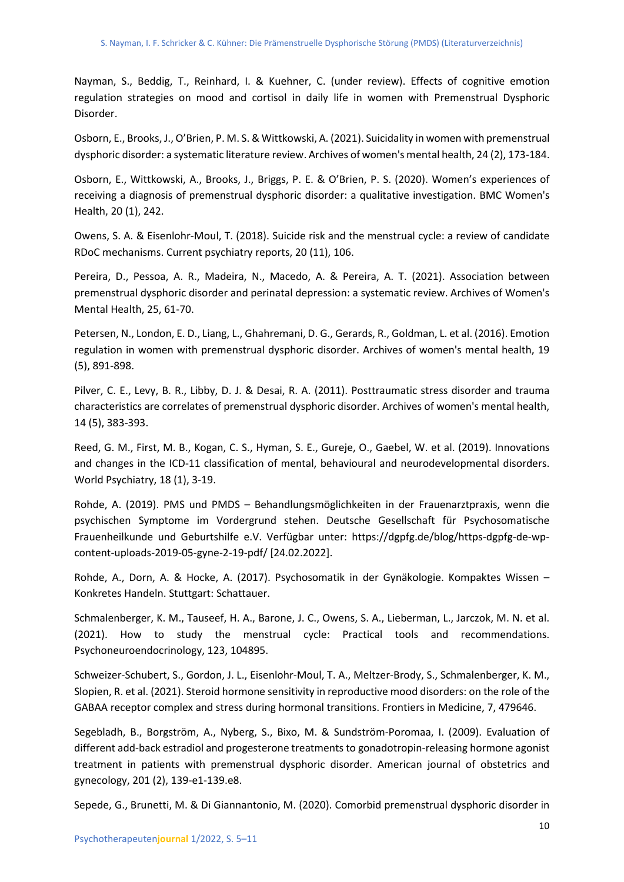Nayman, S., Beddig, T., Reinhard, I. & Kuehner, C. (under review). Effects of cognitive emotion regulation strategies on mood and cortisol in daily life in women with Premenstrual Dysphoric Disorder.

Osborn, E., Brooks, J., O'Brien, P. M. S. & Wittkowski, A. (2021). Suicidality in women with premenstrual dysphoric disorder: a systematic literature review. Archives of women's mental health, 24 (2), 173-184.

Osborn, E., Wittkowski, A., Brooks, J., Briggs, P. E. & O'Brien, P. S. (2020). Women's experiences of receiving a diagnosis of premenstrual dysphoric disorder: a qualitative investigation. BMC Women's Health, 20 (1), 242.

Owens, S. A. & Eisenlohr-Moul, T. (2018). Suicide risk and the menstrual cycle: a review of candidate RDoC mechanisms. Current psychiatry reports, 20 (11), 106.

Pereira, D., Pessoa, A. R., Madeira, N., Macedo, A. & Pereira, A. T. (2021). Association between premenstrual dysphoric disorder and perinatal depression: a systematic review. Archives of Women's Mental Health, 25, 61-70.

Petersen, N., London, E. D., Liang, L., Ghahremani, D. G., Gerards, R., Goldman, L. et al. (2016). Emotion regulation in women with premenstrual dysphoric disorder. Archives of women's mental health, 19 (5), 891-898.

Pilver, C. E., Levy, B. R., Libby, D. J. & Desai, R. A. (2011). Posttraumatic stress disorder and trauma characteristics are correlates of premenstrual dysphoric disorder. Archives of women's mental health, 14 (5), 383-393.

Reed, G. M., First, M. B., Kogan, C. S., Hyman, S. E., Gureje, O., Gaebel, W. et al. (2019). Innovations and changes in the ICD-11 classification of mental, behavioural and neurodevelopmental disorders. World Psychiatry, 18 (1), 3-19.

Rohde, A. (2019). PMS und PMDS – Behandlungsmöglichkeiten in der Frauenarztpraxis, wenn die psychischen Symptome im Vordergrund stehen. Deutsche Gesellschaft für Psychosomatische Frauenheilkunde und Geburtshilfe e.V. Verfügbar unter: https://dgpfg.de/blog/https-dgpfg-de-wpcontent-uploads-2019-05-gyne-2-19-pdf/ [24.02.2022].

Rohde, A., Dorn, A. & Hocke, A. (2017). Psychosomatik in der Gynäkologie. Kompaktes Wissen – Konkretes Handeln. Stuttgart: Schattauer.

Schmalenberger, K. M., Tauseef, H. A., Barone, J. C., Owens, S. A., Lieberman, L., Jarczok, M. N. et al. (2021). How to study the menstrual cycle: Practical tools and recommendations. Psychoneuroendocrinology, 123, 104895.

Schweizer-Schubert, S., Gordon, J. L., Eisenlohr-Moul, T. A., Meltzer-Brody, S., Schmalenberger, K. M., Slopien, R. et al. (2021). Steroid hormone sensitivity in reproductive mood disorders: on the role of the GABAA receptor complex and stress during hormonal transitions. Frontiers in Medicine, 7, 479646.

Segebladh, B., Borgström, A., Nyberg, S., Bixo, M. & Sundström-Poromaa, I. (2009). Evaluation of different add-back estradiol and progesterone treatments to gonadotropin-releasing hormone agonist treatment in patients with premenstrual dysphoric disorder. American journal of obstetrics and gynecology, 201 (2), 139-e1-139.e8.

Sepede, G., Brunetti, M. & Di Giannantonio, M. (2020). Comorbid premenstrual dysphoric disorder in